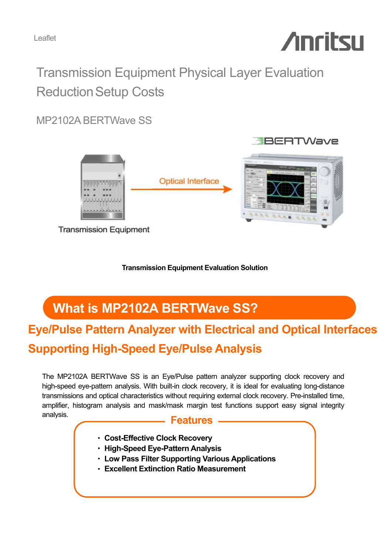Leaflet

# **Anritsu**

# Transmission Equipment Physical Layer Evaluation **Reduction Setup Costs**

MP2102A BERTWave SS



**Transmission Equipment** 

**Transmission Equipment Evaluation Solution**

# **What is MP2102A BERTWave SS?**

# **Eye/Pulse Pattern Analyzer with Electrical and Optical Interfaces Supporting High-Speed Eye/Pulse Analysis**

The MP2102A BERTWave SS is an Eye/Pulse pattern analyzer supporting clock recovery and high-speed eye-pattern analysis. With built-in clock recovery, it is ideal for evaluating long-distance transmissions and optical characteristics without requiring external clock recovery. Pre-installed time, amplifier, histogram analysis and mask/mask margin test functions support easy signal integrity analysis.

#### **Features**

- ・ **Cost-Effective Clock Recovery**
- ・ **High-Speed Eye-Pattern Analysis**
- ・ **Low Pass Filter Supporting Various Applications**
- ・ **Excellent Extinction Ratio Measurement**